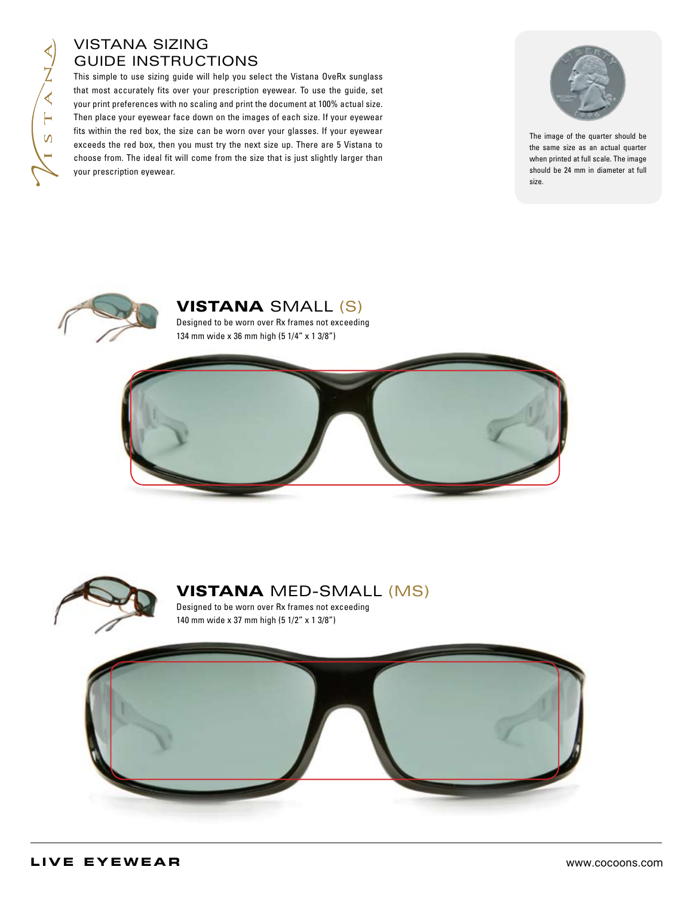## Vistana Sizing Guide Instructions

This simple to use sizing guide will help you select the Vistana OveRx sunglass that most accurately fits over your prescription eyewear. To use the guide, set your print preferences with no scaling and print the document at 100% actual size. Then place your eyewear face down on the images of each size. If your eyewear fits within the red box, the size can be worn over your glasses. If your eyewear exceeds the red box, then you must try the next size up. There are 5 Vistana to choose from. The ideal fit will come from the size that is just slightly larger than your prescription eyewear.



The image of the quarter should be the same size as an actual quarter when printed at full scale. The image should be 24 mm in diameter at full size.



Vistana Small (S)

Designed to be worn over Rx frames not exceeding 134 mm wide x 36 mm high (5 1/4" x 1 3/8")





# Vistana MED-Small (MS)

Designed to be worn over Rx frames not exceeding 140 mm wide x 37 mm high (5 1/2" x 1 3/8")

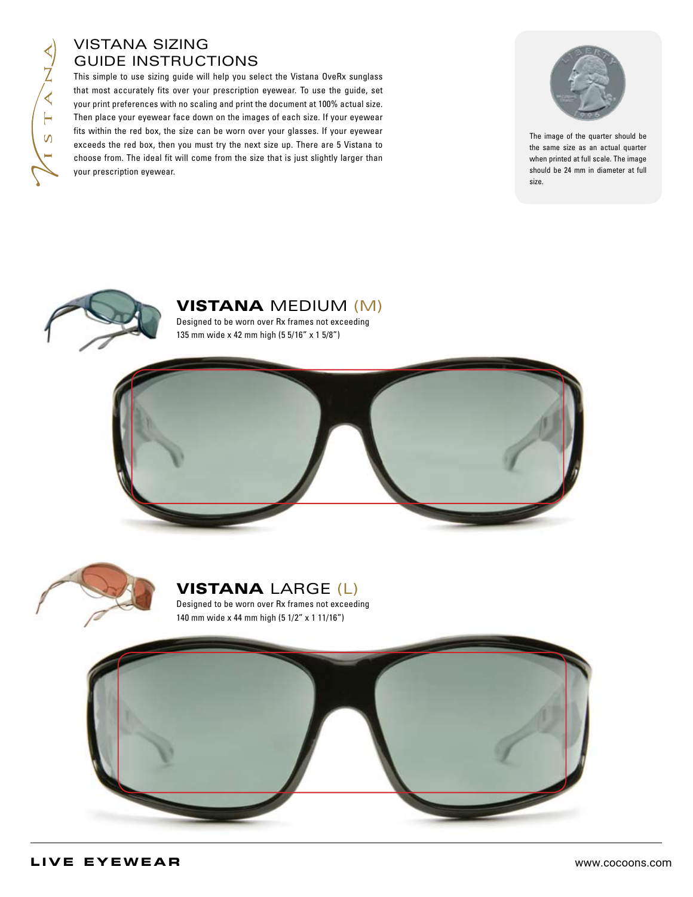## Vistana Sizing Guide Instructions

This simple to use sizing guide will help you select the Vistana OveRx sunglass that most accurately fits over your prescription eyewear. To use the guide, set your print preferences with no scaling and print the document at 100% actual size. Then place your eyewear face down on the images of each size. If your eyewear fits within the red box, the size can be worn over your glasses. If your eyewear exceeds the red box, then you must try the next size up. There are 5 Vistana to choose from. The ideal fit will come from the size that is just slightly larger than your prescription eyewear.



The image of the quarter should be the same size as an actual quarter when printed at full scale. The image should be 24 mm in diameter at full size.



Vistana medium (m)

Designed to be worn over Rx frames not exceeding 135 mm wide x 42 mm high (5 5/16" x 1 5/8")





## **VISTANA LARGE (L)**

Designed to be worn over Rx frames not exceeding 140 mm wide x 44 mm high (5 1/2" x 1 11/16")